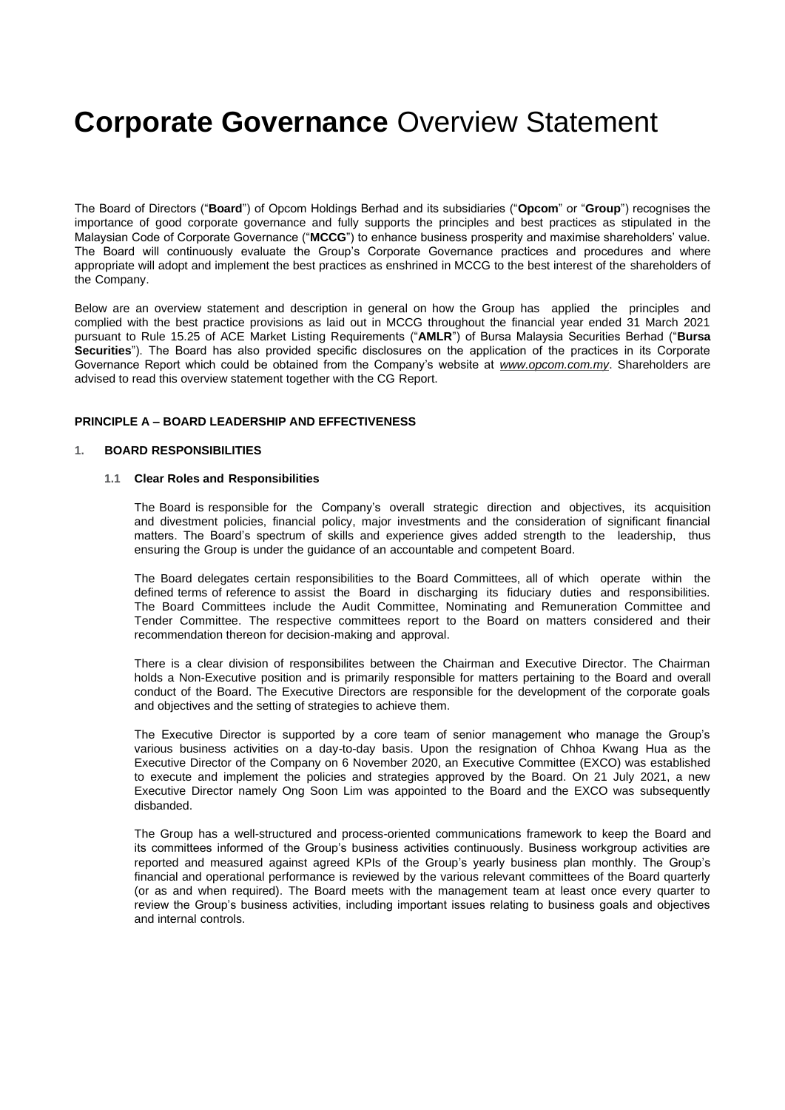The Board of Directors ("**Board**") of Opcom Holdings Berhad and its subsidiaries ("**Opcom**" or "**Group**") recognises the importance of good corporate governance and fully supports the principles and best practices as stipulated in the Malaysian Code of Corporate Governance ("**MCCG**") to enhance business prosperity and maximise shareholders' value. The Board will continuously evaluate the Group's Corporate Governance practices and procedures and where appropriate will adopt and implement the best practices as enshrined in MCCG to the best interest of the shareholders of the Company.

Below are an overview statement and description in general on how the Group has applied the principles and complied with the best practice provisions as laid out in MCCG throughout the financial year ended 31 March 2021 pursuant to Rule 15.25 of ACE Market Listing Requirements ("**AMLR**") of Bursa Malaysia Securities Berhad ("**Bursa Securities**"). The Board has also provided specific disclosures on the application of the practices in its Corporate Governance Report which could be obtained from the Company's website at *[www.opcom.com.my](http://www.opcom.com.my/)*. Shareholders are advised to read this overview statement together with the CG Report.

#### **PRINCIPLE A – BOARD LEADERSHIP AND EFFECTIVENESS**

#### **1. BOARD RESPONSIBILITIES**

#### **1.1 Clear Roles and Responsibilities**

The Board is responsible for the Company's overall strategic direction and objectives, its acquisition and divestment policies, financial policy, major investments and the consideration of significant financial matters. The Board's spectrum of skills and experience gives added strength to the leadership, thus ensuring the Group is under the guidance of an accountable and competent Board.

The Board delegates certain responsibilities to the Board Committees, all of which operate within the defined terms of reference to assist the Board in discharging its fiduciary duties and responsibilities. The Board Committees include the Audit Committee, Nominating and Remuneration Committee and Tender Committee. The respective committees report to the Board on matters considered and their recommendation thereon for decision-making and approval.

There is a clear division of responsibilites between the Chairman and Executive Director. The Chairman holds a Non-Executive position and is primarily responsible for matters pertaining to the Board and overall conduct of the Board. The Executive Directors are responsible for the development of the corporate goals and objectives and the setting of strategies to achieve them.

The Executive Director is supported by a core team of senior management who manage the Group's various business activities on a day-to-day basis. Upon the resignation of Chhoa Kwang Hua as the Executive Director of the Company on 6 November 2020, an Executive Committee (EXCO) was established to execute and implement the policies and strategies approved by the Board. On 21 July 2021, a new Executive Director namely Ong Soon Lim was appointed to the Board and the EXCO was subsequently disbanded.

The Group has a well-structured and process-oriented communications framework to keep the Board and its committees informed of the Group's business activities continuously. Business workgroup activities are reported and measured against agreed KPIs of the Group's yearly business plan monthly. The Group's financial and operational performance is reviewed by the various relevant committees of the Board quarterly (or as and when required). The Board meets with the management team at least once every quarter to review the Group's business activities, including important issues relating to business goals and objectives and internal controls.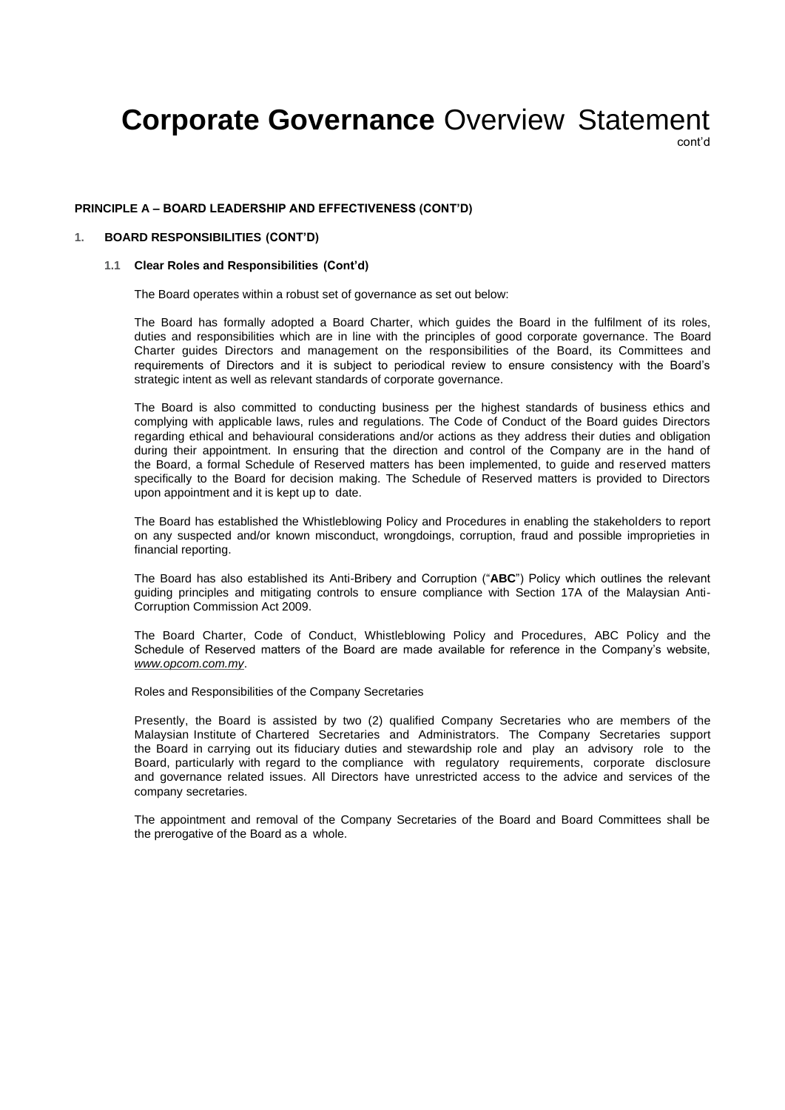cont'd

#### **PRINCIPLE A – BOARD LEADERSHIP AND EFFECTIVENESS (CONT'D)**

# **1. BOARD RESPONSIBILITIES (CONT'D)**

#### **1.1 Clear Roles and Responsibilities (Cont'd)**

The Board operates within a robust set of governance as set out below:

The Board has formally adopted a Board Charter, which guides the Board in the fulfilment of its roles, duties and responsibilities which are in line with the principles of good corporate governance. The Board Charter guides Directors and management on the responsibilities of the Board, its Committees and requirements of Directors and it is subject to periodical review to ensure consistency with the Board's strategic intent as well as relevant standards of corporate governance.

The Board is also committed to conducting business per the highest standards of business ethics and complying with applicable laws, rules and regulations. The Code of Conduct of the Board guides Directors regarding ethical and behavioural considerations and/or actions as they address their duties and obligation during their appointment. In ensuring that the direction and control of the Company are in the hand of the Board, a formal Schedule of Reserved matters has been implemented, to guide and reserved matters specifically to the Board for decision making. The Schedule of Reserved matters is provided to Directors upon appointment and it is kept up to date.

The Board has established the Whistleblowing Policy and Procedures in enabling the stakeholders to report on any suspected and/or known misconduct, wrongdoings, corruption, fraud and possible improprieties in financial reporting.

The Board has also established its Anti-Bribery and Corruption ("**ABC**") Policy which outlines the relevant guiding principles and mitigating controls to ensure compliance with Section 17A of the Malaysian Anti-Corruption Commission Act 2009.

The Board Charter, Code of Conduct, Whistleblowing Policy and Procedures, ABC Policy and the Schedule of Reserved matters of the Board are made available for reference in the Company's website, *[www.opcom.com.my](http://www.opcom.com.my/)*.

Roles and Responsibilities of the Company Secretaries

Presently, the Board is assisted by two (2) qualified Company Secretaries who are members of the Malaysian Institute of Chartered Secretaries and Administrators. The Company Secretaries support the Board in carrying out its fiduciary duties and stewardship role and play an advisory role to the Board, particularly with regard to the compliance with regulatory requirements, corporate disclosure and governance related issues. All Directors have unrestricted access to the advice and services of the company secretaries.

The appointment and removal of the Company Secretaries of the Board and Board Committees shall be the prerogative of the Board as a whole.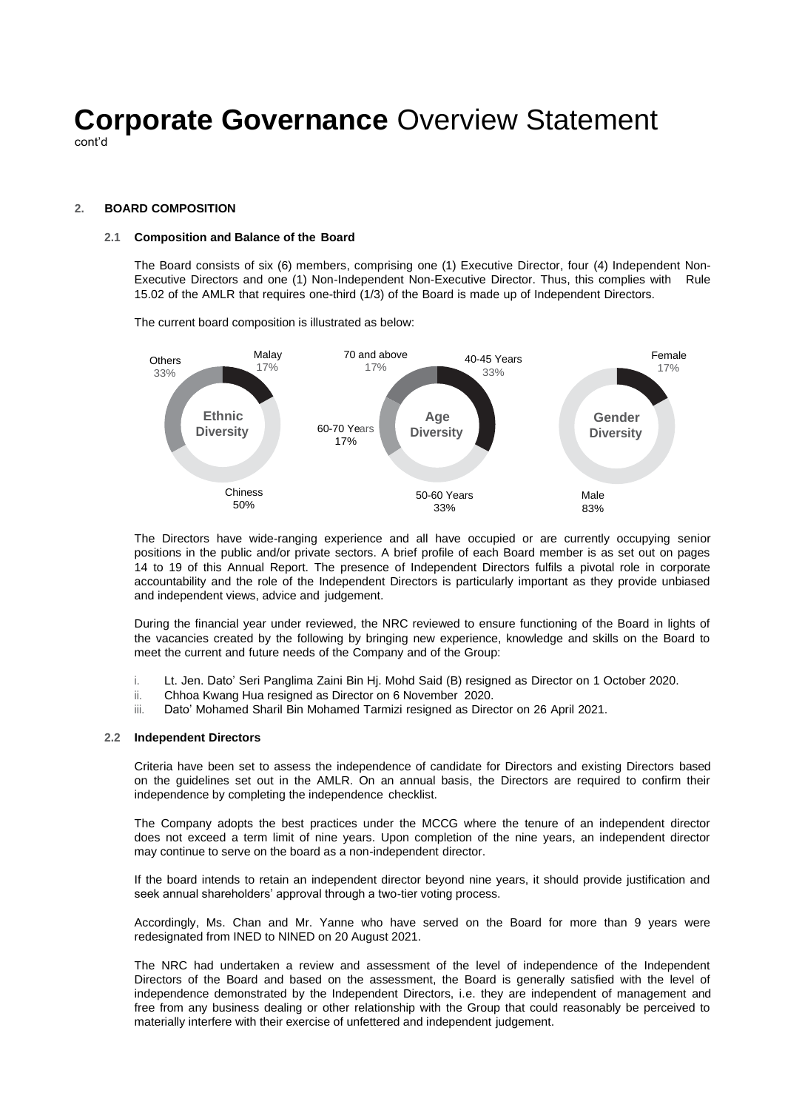cont'd

### **2. BOARD COMPOSITION**

# **2.1 Composition and Balance of the Board**

The Board consists of six (6) members, comprising one (1) Executive Director, four (4) Independent Non-Executive Directors and one (1) Non-Independent Non-Executive Director. Thus, this complies with Rule 15.02 of the AMLR that requires one-third (1/3) of the Board is made up of Independent Directors.

The current board composition is illustrated as below:



The Directors have wide-ranging experience and all have occupied or are currently occupying senior positions in the public and/or private sectors. A brief profile of each Board member is as set out on pages 14 to 19 of this Annual Report. The presence of Independent Directors fulfils a pivotal role in corporate accountability and the role of the Independent Directors is particularly important as they provide unbiased and independent views, advice and judgement.

During the financial year under reviewed, the NRC reviewed to ensure functioning of the Board in lights of the vacancies created by the following by bringing new experience, knowledge and skills on the Board to meet the current and future needs of the Company and of the Group:

- i. Lt. Jen. Dato' Seri Panglima Zaini Bin Hj. Mohd Said (B) resigned as Director on 1 October 2020.
- ii. Chhoa Kwang Hua resigned as Director on 6 November 2020.
- iii. Dato' Mohamed Sharil Bin Mohamed Tarmizi resigned as Director on 26 April 2021.

#### **2.2 Independent Directors**

Criteria have been set to assess the independence of candidate for Directors and existing Directors based on the guidelines set out in the AMLR. On an annual basis, the Directors are required to confirm their independence by completing the independence checklist.

The Company adopts the best practices under the MCCG where the tenure of an independent director does not exceed a term limit of nine years. Upon completion of the nine years, an independent director may continue to serve on the board as a non-independent director.

If the board intends to retain an independent director beyond nine years, it should provide justification and seek annual shareholders' approval through a two-tier voting process.

Accordingly, Ms. Chan and Mr. Yanne who have served on the Board for more than 9 years were redesignated from INED to NINED on 20 August 2021.

The NRC had undertaken a review and assessment of the level of independence of the Independent Directors of the Board and based on the assessment, the Board is generally satisfied with the level of independence demonstrated by the Independent Directors, i.e. they are independent of management and free from any business dealing or other relationship with the Group that could reasonably be perceived to materially interfere with their exercise of unfettered and independent judgement.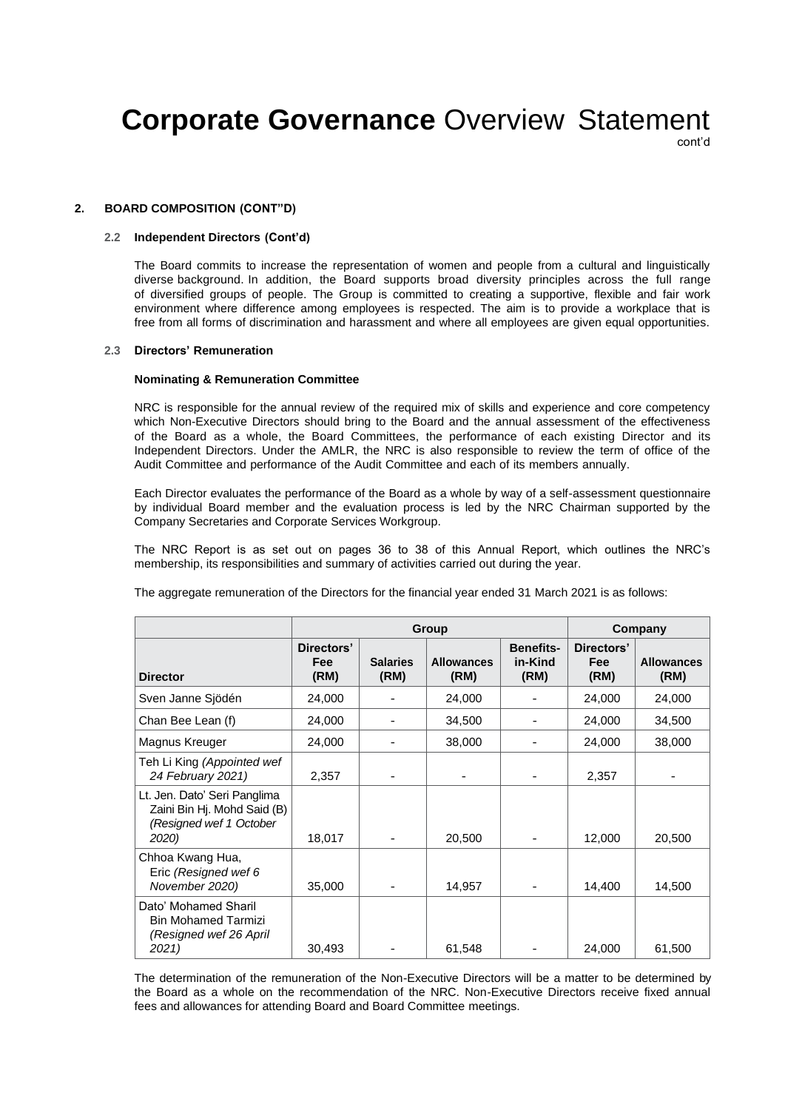cont'd

### **2. BOARD COMPOSITION (CONT"D)**

# **2.2 Independent Directors (Cont'd)**

The Board commits to increase the representation of women and people from a cultural and linguistically diverse background. In addition, the Board supports broad diversity principles across the full range of diversified groups of people. The Group is committed to creating a supportive, flexible and fair work environment where difference among employees is respected. The aim is to provide a workplace that is free from all forms of discrimination and harassment and where all employees are given equal opportunities.

#### **2.3 Directors' Remuneration**

#### **Nominating & Remuneration Committee**

NRC is responsible for the annual review of the required mix of skills and experience and core competency which Non-Executive Directors should bring to the Board and the annual assessment of the effectiveness of the Board as a whole, the Board Committees, the performance of each existing Director and its Independent Directors. Under the AMLR, the NRC is also responsible to review the term of office of the Audit Committee and performance of the Audit Committee and each of its members annually.

Each Director evaluates the performance of the Board as a whole by way of a self-assessment questionnaire by individual Board member and the evaluation process is led by the NRC Chairman supported by the Company Secretaries and Corporate Services Workgroup.

The NRC Report is as set out on pages 36 to 38 of this Annual Report, which outlines the NRC's membership, its responsibilities and summary of activities carried out during the year.

|                                                                                                 | Group                     |                         |                           |                                     | Company                          |                           |
|-------------------------------------------------------------------------------------------------|---------------------------|-------------------------|---------------------------|-------------------------------------|----------------------------------|---------------------------|
| <b>Director</b>                                                                                 | Directors'<br>Fee<br>(RM) | <b>Salaries</b><br>(RM) | <b>Allowances</b><br>(RM) | <b>Benefits-</b><br>in-Kind<br>(RM) | Directors'<br><b>Fee</b><br>(RM) | <b>Allowances</b><br>(RM) |
| Sven Janne Sjödén                                                                               | 24,000                    |                         | 24,000                    |                                     | 24,000                           | 24,000                    |
| Chan Bee Lean (f)                                                                               | 24,000                    |                         | 34,500                    |                                     | 24,000                           | 34,500                    |
| Magnus Kreuger                                                                                  | 24,000                    |                         | 38,000                    |                                     | 24,000                           | 38,000                    |
| Teh Li King (Appointed wef<br>24 February 2021)                                                 | 2,357                     |                         |                           |                                     | 2,357                            |                           |
| Lt. Jen. Dato' Seri Panglima<br>Zaini Bin Hj. Mohd Said (B)<br>(Resigned wef 1 October<br>2020) | 18,017                    |                         | 20,500                    |                                     | 12,000                           | 20,500                    |
| Chhoa Kwang Hua,<br>Eric (Resigned wef 6<br>November 2020)                                      | 35,000                    |                         | 14,957                    |                                     | 14,400                           | 14,500                    |
| Dato' Mohamed Sharil<br><b>Bin Mohamed Tarmizi</b><br>(Resigned wef 26 April<br>2021)           | 30,493                    |                         | 61,548                    |                                     | 24,000                           | 61,500                    |

The aggregate remuneration of the Directors for the financial year ended 31 March 2021 is as follows:

The determination of the remuneration of the Non-Executive Directors will be a matter to be determined by the Board as a whole on the recommendation of the NRC. Non-Executive Directors receive fixed annual fees and allowances for attending Board and Board Committee meetings.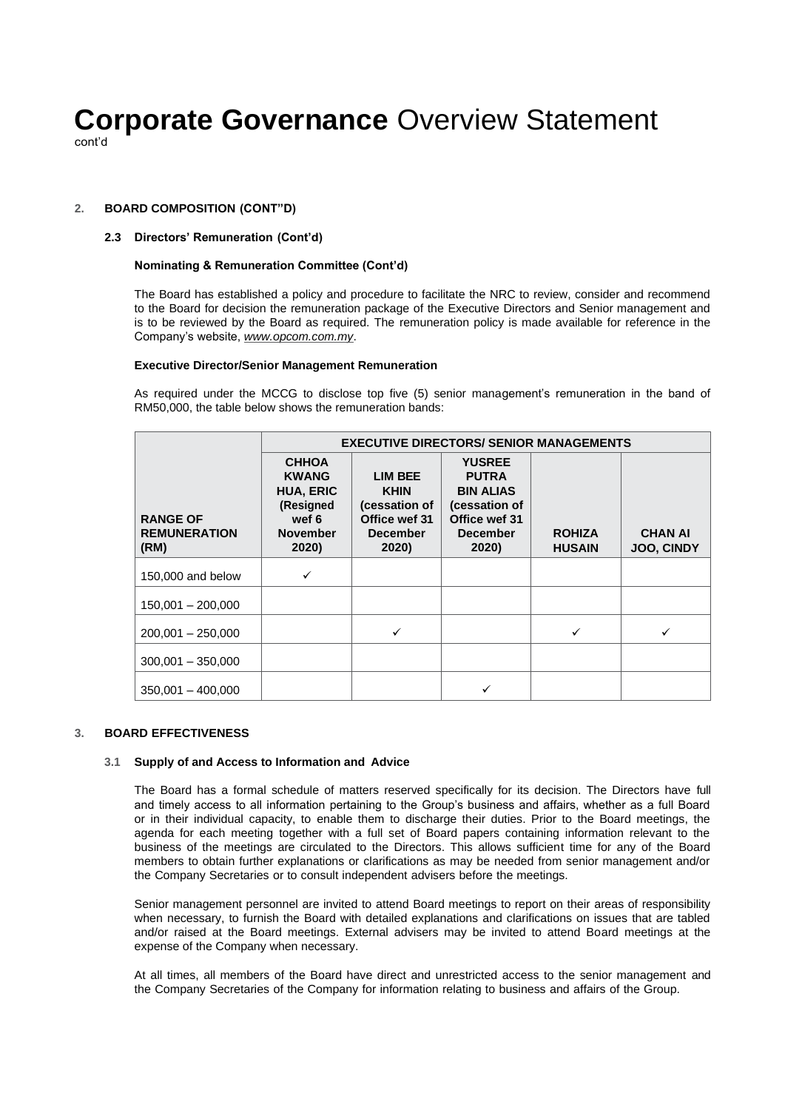cont'd

# **2. BOARD COMPOSITION (CONT"D)**

# **2.3 Directors' Remuneration (Cont'd)**

## **Nominating & Remuneration Committee (Cont'd)**

The Board has established a policy and procedure to facilitate the NRC to review, consider and recommend to the Board for decision the remuneration package of the Executive Directors and Senior management and is to be reviewed by the Board as required. The remuneration policy is made available for reference in the Company's website, *[www.opcom.com.my](http://www.opcom.com.my/)*.

### **Executive Director/Senior Management Remuneration**

As required under the MCCG to disclose top five (5) senior management's remuneration in the band of RM50,000, the table below shows the remuneration bands:

|                                                | <b>EXECUTIVE DIRECTORS/ SENIOR MANAGEMENTS</b>                                                     |                                                                                             |                                                                                                                 |                                |                                     |  |  |  |  |
|------------------------------------------------|----------------------------------------------------------------------------------------------------|---------------------------------------------------------------------------------------------|-----------------------------------------------------------------------------------------------------------------|--------------------------------|-------------------------------------|--|--|--|--|
| <b>RANGE OF</b><br><b>REMUNERATION</b><br>(RM) | <b>CHHOA</b><br><b>KWANG</b><br><b>HUA, ERIC</b><br>(Resigned<br>wef 6<br><b>November</b><br>2020) | <b>LIM BEE</b><br><b>KHIN</b><br>(cessation of<br>Office wef 31<br><b>December</b><br>2020) | <b>YUSREE</b><br><b>PUTRA</b><br><b>BIN ALIAS</b><br>(cessation of<br>Office wef 31<br><b>December</b><br>2020) | <b>ROHIZA</b><br><b>HUSAIN</b> | <b>CHAN AI</b><br><b>JOO, CINDY</b> |  |  |  |  |
| 150,000 and below                              | ✓                                                                                                  |                                                                                             |                                                                                                                 |                                |                                     |  |  |  |  |
| $150,001 - 200,000$                            |                                                                                                    |                                                                                             |                                                                                                                 |                                |                                     |  |  |  |  |
| $200,001 - 250,000$                            |                                                                                                    |                                                                                             |                                                                                                                 |                                |                                     |  |  |  |  |
| $300,001 - 350,000$                            |                                                                                                    |                                                                                             |                                                                                                                 |                                |                                     |  |  |  |  |
| $350,001 - 400,000$                            |                                                                                                    |                                                                                             |                                                                                                                 |                                |                                     |  |  |  |  |

## **3. BOARD EFFECTIVENESS**

### **3.1 Supply of and Access to Information and Advice**

The Board has a formal schedule of matters reserved specifically for its decision. The Directors have full and timely access to all information pertaining to the Group's business and affairs, whether as a full Board or in their individual capacity, to enable them to discharge their duties. Prior to the Board meetings, the agenda for each meeting together with a full set of Board papers containing information relevant to the business of the meetings are circulated to the Directors. This allows sufficient time for any of the Board members to obtain further explanations or clarifications as may be needed from senior management and/or the Company Secretaries or to consult independent advisers before the meetings.

Senior management personnel are invited to attend Board meetings to report on their areas of responsibility when necessary, to furnish the Board with detailed explanations and clarifications on issues that are tabled and/or raised at the Board meetings. External advisers may be invited to attend Board meetings at the expense of the Company when necessary.

At all times, all members of the Board have direct and unrestricted access to the senior management and the Company Secretaries of the Company for information relating to business and affairs of the Group.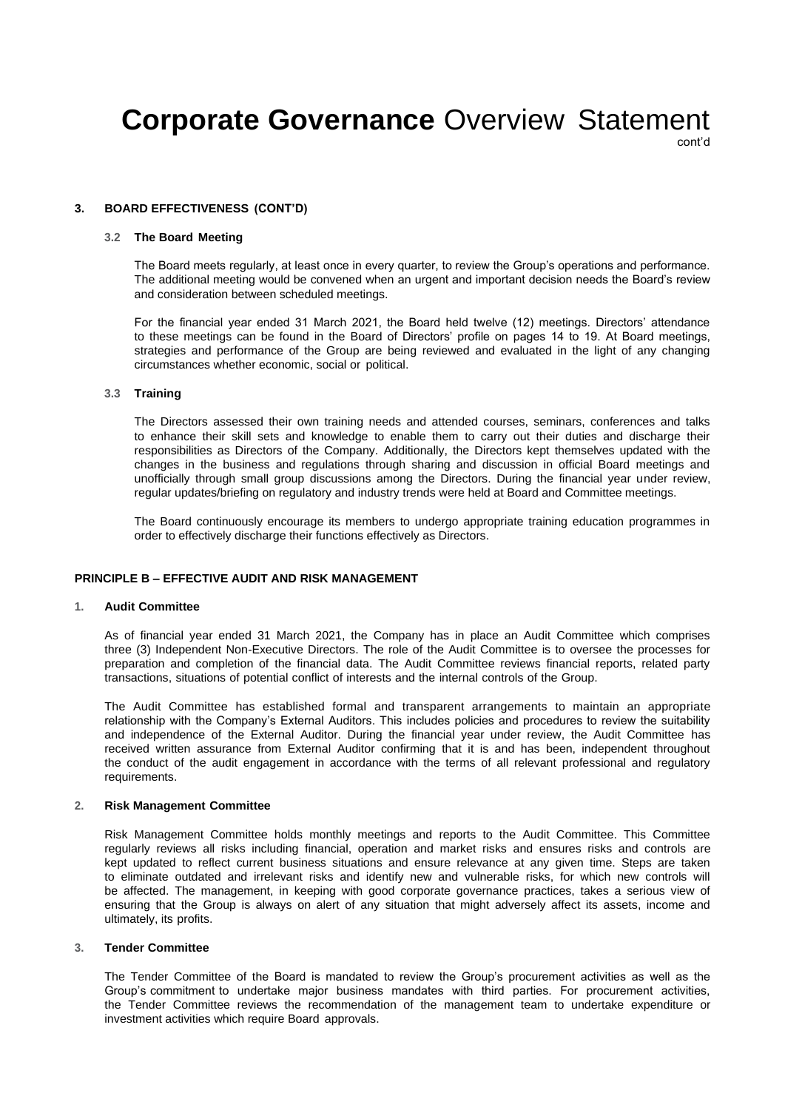cont'd

### **3. BOARD EFFECTIVENESS (CONT'D)**

# **3.2 The Board Meeting**

The Board meets regularly, at least once in every quarter, to review the Group's operations and performance. The additional meeting would be convened when an urgent and important decision needs the Board's review and consideration between scheduled meetings.

For the financial year ended 31 March 2021, the Board held twelve (12) meetings. Directors' attendance to these meetings can be found in the Board of Directors' profile on pages 14 to 19. At Board meetings, strategies and performance of the Group are being reviewed and evaluated in the light of any changing circumstances whether economic, social or political.

#### **3.3 Training**

The Directors assessed their own training needs and attended courses, seminars, conferences and talks to enhance their skill sets and knowledge to enable them to carry out their duties and discharge their responsibilities as Directors of the Company. Additionally, the Directors kept themselves updated with the changes in the business and regulations through sharing and discussion in official Board meetings and unofficially through small group discussions among the Directors. During the financial year under review, regular updates/briefing on regulatory and industry trends were held at Board and Committee meetings.

The Board continuously encourage its members to undergo appropriate training education programmes in order to effectively discharge their functions effectively as Directors.

## **PRINCIPLE B – EFFECTIVE AUDIT AND RISK MANAGEMENT**

#### **1. Audit Committee**

As of financial year ended 31 March 2021, the Company has in place an Audit Committee which comprises three (3) Independent Non-Executive Directors. The role of the Audit Committee is to oversee the processes for preparation and completion of the financial data. The Audit Committee reviews financial reports, related party transactions, situations of potential conflict of interests and the internal controls of the Group.

The Audit Committee has established formal and transparent arrangements to maintain an appropriate relationship with the Company's External Auditors. This includes policies and procedures to review the suitability and independence of the External Auditor. During the financial year under review, the Audit Committee has received written assurance from External Auditor confirming that it is and has been, independent throughout the conduct of the audit engagement in accordance with the terms of all relevant professional and regulatory requirements.

#### **2. Risk Management Committee**

Risk Management Committee holds monthly meetings and reports to the Audit Committee. This Committee regularly reviews all risks including financial, operation and market risks and ensures risks and controls are kept updated to reflect current business situations and ensure relevance at any given time. Steps are taken to eliminate outdated and irrelevant risks and identify new and vulnerable risks, for which new controls will be affected. The management, in keeping with good corporate governance practices, takes a serious view of ensuring that the Group is always on alert of any situation that might adversely affect its assets, income and ultimately, its profits.

## **3. Tender Committee**

The Tender Committee of the Board is mandated to review the Group's procurement activities as well as the Group's commitment to undertake major business mandates with third parties. For procurement activities, the Tender Committee reviews the recommendation of the management team to undertake expenditure or investment activities which require Board approvals.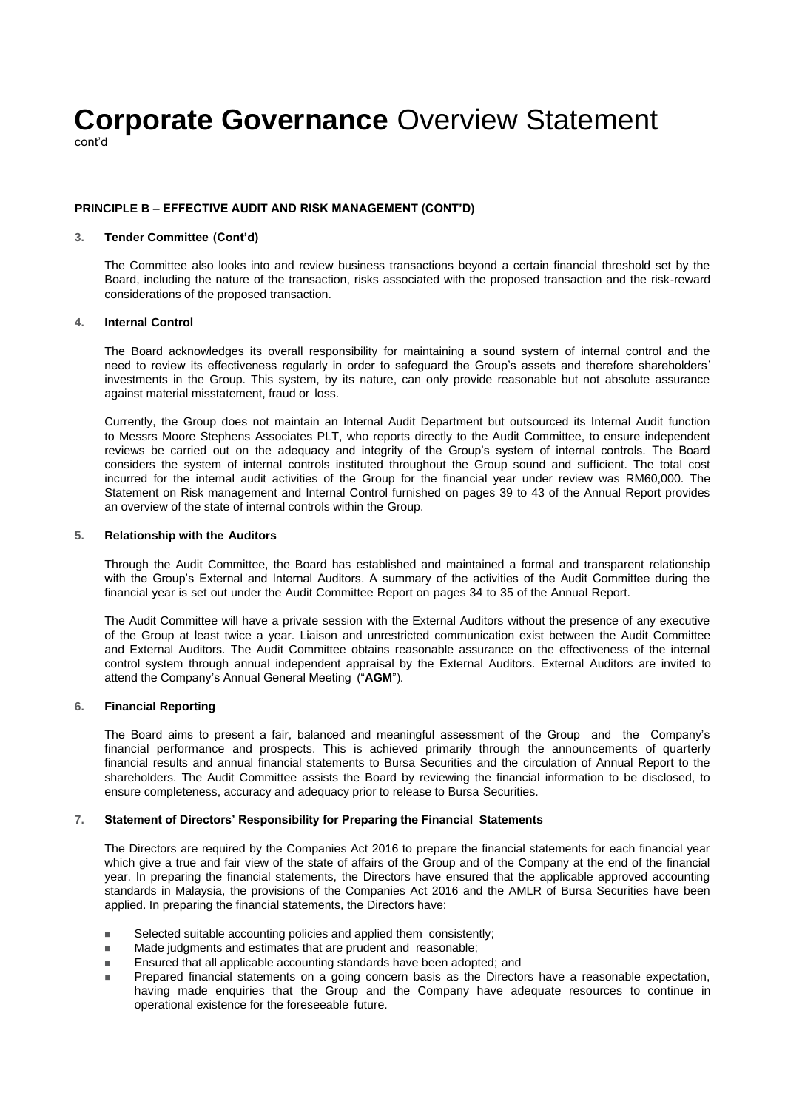cont'd

### **PRINCIPLE B – EFFECTIVE AUDIT AND RISK MANAGEMENT (CONT'D)**

# **3. Tender Committee (Cont'd)**

The Committee also looks into and review business transactions beyond a certain financial threshold set by the Board, including the nature of the transaction, risks associated with the proposed transaction and the risk-reward considerations of the proposed transaction.

#### **4. Internal Control**

The Board acknowledges its overall responsibility for maintaining a sound system of internal control and the need to review its effectiveness regularly in order to safeguard the Group's assets and therefore shareholders' investments in the Group. This system, by its nature, can only provide reasonable but not absolute assurance against material misstatement, fraud or loss.

Currently, the Group does not maintain an Internal Audit Department but outsourced its Internal Audit function to Messrs Moore Stephens Associates PLT, who reports directly to the Audit Committee, to ensure independent reviews be carried out on the adequacy and integrity of the Group's system of internal controls. The Board considers the system of internal controls instituted throughout the Group sound and sufficient. The total cost incurred for the internal audit activities of the Group for the financial year under review was RM60,000. The Statement on Risk management and Internal Control furnished on pages 39 to 43 of the Annual Report provides an overview of the state of internal controls within the Group.

#### **5. Relationship with the Auditors**

Through the Audit Committee, the Board has established and maintained a formal and transparent relationship with the Group's External and Internal Auditors. A summary of the activities of the Audit Committee during the financial year is set out under the Audit Committee Report on pages 34 to 35 of the Annual Report.

The Audit Committee will have a private session with the External Auditors without the presence of any executive of the Group at least twice a year. Liaison and unrestricted communication exist between the Audit Committee and External Auditors. The Audit Committee obtains reasonable assurance on the effectiveness of the internal control system through annual independent appraisal by the External Auditors. External Auditors are invited to attend the Company's Annual General Meeting ("**AGM**").

### **6. Financial Reporting**

The Board aims to present a fair, balanced and meaningful assessment of the Group and the Company's financial performance and prospects. This is achieved primarily through the announcements of quarterly financial results and annual financial statements to Bursa Securities and the circulation of Annual Report to the shareholders. The Audit Committee assists the Board by reviewing the financial information to be disclosed, to ensure completeness, accuracy and adequacy prior to release to Bursa Securities.

### **7. Statement of Directors' Responsibility for Preparing the Financial Statements**

The Directors are required by the Companies Act 2016 to prepare the financial statements for each financial year which give a true and fair view of the state of affairs of the Group and of the Company at the end of the financial year. In preparing the financial statements, the Directors have ensured that the applicable approved accounting standards in Malaysia, the provisions of the Companies Act 2016 and the AMLR of Bursa Securities have been applied. In preparing the financial statements, the Directors have:

- Selected suitable accounting policies and applied them consistently;
- Made judgments and estimates that are prudent and reasonable;
- Ensured that all applicable accounting standards have been adopted; and
- Prepared financial statements on a going concern basis as the Directors have a reasonable expectation, having made enquiries that the Group and the Company have adequate resources to continue in operational existence for the foreseeable future.